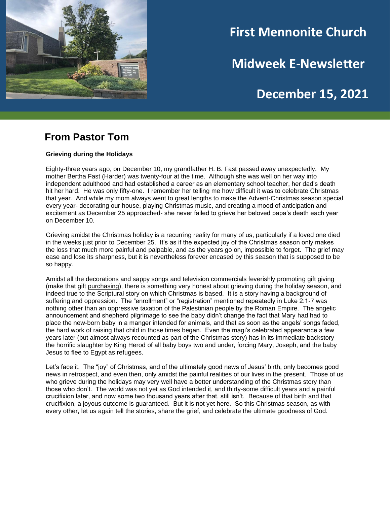

# **First Mennonite Church**

**Midweek E-Newsletter**

# **December 15, 2021**

#### **From Pastor Tom**

#### **Grieving during the Holidays**

Eighty-three years ago, on December 10, my grandfather H. B. Fast passed away unexpectedly. My mother Bertha Fast (Harder) was twenty-four at the time. Although she was well on her way into independent adulthood and had established a career as an elementary school teacher, her dad's death hit her hard. He was only fifty-one. I remember her telling me how difficult it was to celebrate Christmas that year. And while my mom always went to great lengths to make the Advent-Christmas season special every year- decorating our house, playing Christmas music, and creating a mood of anticipation and excitement as December 25 approached- she never failed to grieve her beloved papa's death each year on December 10.

Grieving amidst the Christmas holiday is a recurring reality for many of us, particularly if a loved one died in the weeks just prior to December 25. It's as if the expected joy of the Christmas season only makes the loss that much more painful and palpable, and as the years go on, impossible to forget. The grief may ease and lose its sharpness, but it is nevertheless forever encased by this season that is supposed to be so happy.

Amidst all the decorations and sappy songs and television commercials feverishly promoting gift giving (make that gift purchasing), there is something very honest about grieving during the holiday season, and indeed true to the Scriptural story on which Christmas is based. It is a story having a background of suffering and oppression. The "enrollment" or "registration" mentioned repeatedly in Luke 2:1-7 was nothing other than an oppressive taxation of the Palestinian people by the Roman Empire. The angelic announcement and shepherd pilgrimage to see the baby didn't change the fact that Mary had had to place the new-born baby in a manger intended for animals, and that as soon as the angels' songs faded, the hard work of raising that child in those times began. Even the magi's celebrated appearance a few years later (but almost always recounted as part of the Christmas story) has in its immediate backstory the horrific slaughter by King Herod of all baby boys two and under, forcing Mary, Joseph, and the baby Jesus to flee to Egypt as refugees.

Let's face it. The "joy" of Christmas, and of the ultimately good news of Jesus' birth, only becomes good news in retrospect, and even then, only amidst the painful realities of our lives in the present. Those of us who grieve during the holidays may very well have a better understanding of the Christmas story than those who don't. The world was not yet as God intended it, and thirty-some difficult years and a painful crucifixion later, and now some two thousand years after that, still isn't. Because of that birth and that crucifixion, a joyous outcome is guaranteed. But it is not yet here. So this Christmas season, as with every other, let us again tell the stories, share the grief, and celebrate the ultimate goodness of God.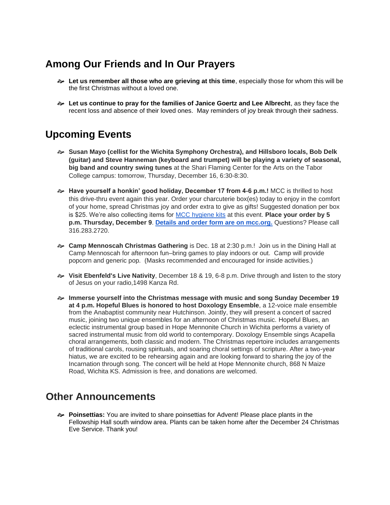## **Among Our Friends and In Our Prayers**

- **Let us remember all those who are grieving at this time**, especially those for whom this will be the first Christmas without a loved one.
- **Let us continue to pray for the families of Janice Goertz and Lee Albrecht**, as they face the recent loss and absence of their loved ones. May reminders of joy break through their sadness.

## **Upcoming Events**

- **Susan Mayo (cellist for the Wichita Symphony Orchestra), and Hillsboro locals, Bob Delk (guitar) and Steve Hanneman (keyboard and trumpet) will be playing a variety of seasonal, big band and country swing tunes** at the Shari Flaming Center for the Arts on the Tabor College campus: tomorrow, Thursday, December 16, 6:30-8:30.
- **Have yourself a honkin' good holiday, December 17 from 4-6 p.m.!** MCC is thrilled to host this drive-thru event again this year. Order your charcuterie box(es) today to enjoy in the comfort of your home, spread Christmas joy and order extra to give as gifts! Suggested donation per box is \$25. We're also collecting items for [MCC hygiene kits](https://mcc.org/get-involved/kits/hygiene) at this event. **Place your order by 5 p.m. Thursday, December 9**. **[Details and order form are on mcc.org.](https://mcc.org/get-involved/events/have-yourself-honkin-good-holiday)** Questions? Please call 316.283.2720.
- **Camp Mennoscah Christmas Gathering** is Dec. 18 at 2:30 p.m.! Join us in the Dining Hall at Camp Mennoscah for afternoon fun–bring games to play indoors or out. Camp will provide popcorn and generic pop. (Masks recommended and encouraged for inside activities.)
- **Visit Ebenfeld's Live Nativity**, December 18 & 19, 6-8 p.m. Drive through and listen to the story of Jesus on your radio,1498 Kanza Rd.
- **Immerse yourself into the Christmas message with music and song Sunday December 19 at 4 p.m. Hopeful Blues is honored to host Doxology Ensemble**, a 12-voice male ensemble from the Anabaptist community near Hutchinson. Jointly, they will present a concert of sacred music, joining two unique ensembles for an afternoon of Christmas music. Hopeful Blues, an eclectic instrumental group based in Hope Mennonite Church in Wichita performs a variety of sacred instrumental music from old world to contemporary. Doxology Ensemble sings Acapella choral arrangements, both classic and modern. The Christmas repertoire includes arrangements of traditional carols, rousing spirituals, and soaring choral settings of scripture. After a two-year hiatus, we are excited to be rehearsing again and are looking forward to sharing the joy of the Incarnation through song. The concert will be held at Hope Mennonite church, 868 N Maize Road, Wichita KS. Admission is free, and donations are welcomed.

## **Other Announcements**

 **Poinsettias:** You are invited to share poinsettias for Advent! Please place plants in the Fellowship Hall south window area. Plants can be taken home after the December 24 Christmas Eve Service. Thank you!